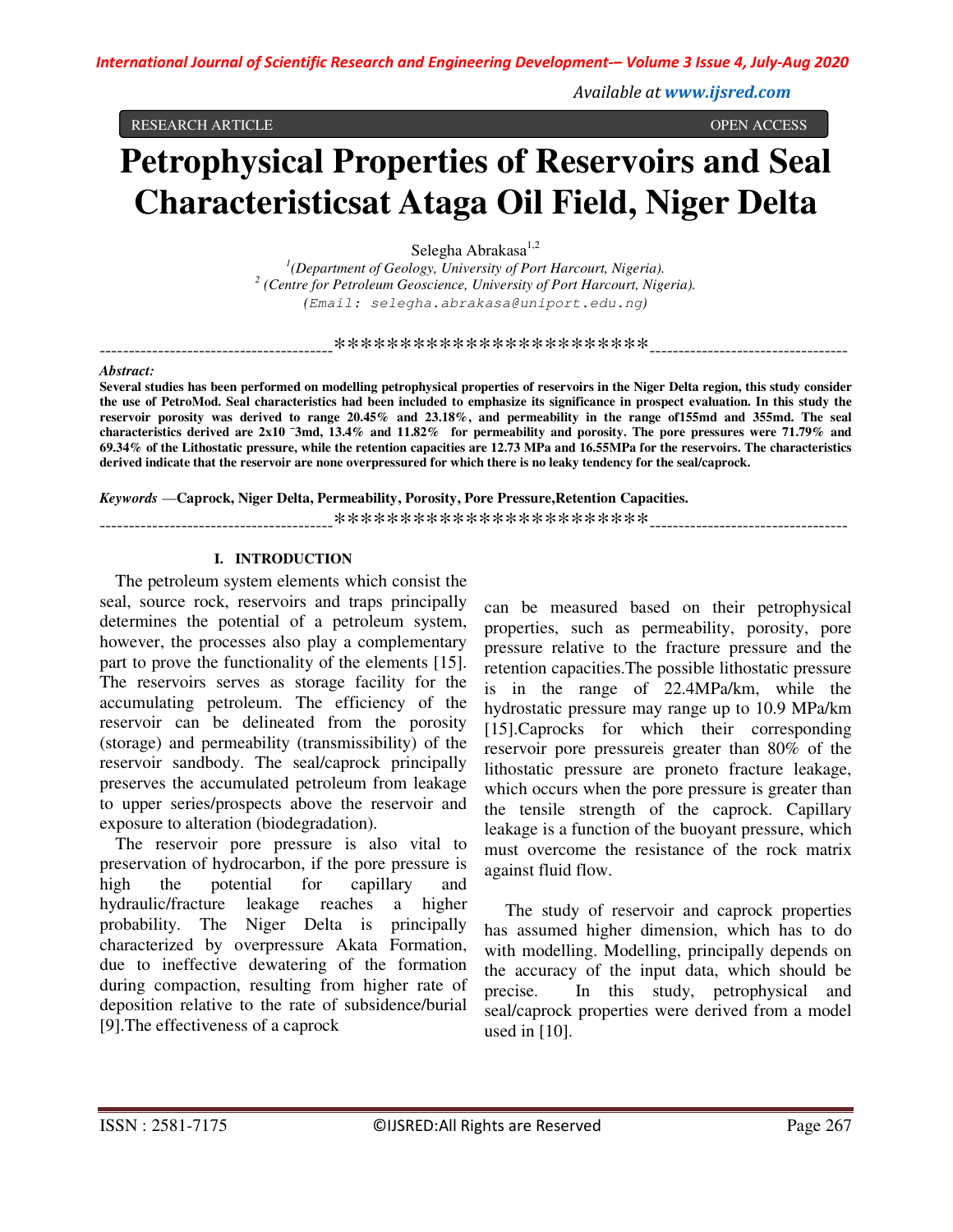Available at www.ijsred.com

RESEARCH ARTICLE

OPEN ACCESS

# **Petrophysical Properties of Reservoirs and Seal Characteristicsat Ataga Oil Field, Niger Delta**

Selegha Abrakasa<sup>1,2</sup>

 $^{1}$ (Department of Geology, University of Port Harcourt, Nigeria). <sup>2</sup> (Centre for Petroleum Geoscience, University of Port Harcourt, Nigeria). (Email: selegha.abrakasa@uniport.edu.ng)

#### Abstract:

Several studies has been performed on modelling petrophysical properties of reservoirs in the Niger Delta region, this study consider the use of PetroMod. Seal characteristics had been included to emphasize its significance in prospect evaluation. In this study the reservoir porosity was derived to range 20.45% and 23.18%, and permeability in the range of155md and 355md. The seal characteristics derived are 2x10<sup>-3</sup>md, 13.4% and 11.82% for permeability and porosity. The pore pressures were 71.79% and 69.34% of the Lithostatic pressure, while the retention capacities are 12.73 MPa and 16.55MPa for the reservoirs. The characteristics derived indicate that the reservoir are none overpressured for which there is no leaky tendency for the seal/caprock.

Keywords — Caprock, Niger Delta, Permeability, Porosity, Pore Pressure, Retention Capacities.

## **I. INTRODUCTION**

The petroleum system elements which consist the seal, source rock, reservoirs and traps principally determines the potential of a petroleum system, however, the processes also play a complementary part to prove the functionality of the elements [15]. The reservoirs serves as storage facility for the accumulating petroleum. The efficiency of the reservoir can be delineated from the porosity (storage) and permeability (transmissibility) of the reservoir sandbody. The seal/caprock principally preserves the accumulated petroleum from leakage to upper series/prospects above the reservoir and exposure to alteration (biodegradation).

The reservoir pore pressure is also vital to preservation of hydrocarbon, if the pore pressure is potential capillary high the for and hydraulic/fracture leakage reaches a higher probability. The Niger Delta is principally characterized by overpressure Akata Formation, due to ineffective dewatering of the formation during compaction, resulting from higher rate of deposition relative to the rate of subsidence/burial [9]. The effectiveness of a caprock

can be measured based on their petrophysical properties, such as permeability, porosity, pore pressure relative to the fracture pressure and the retention capacities. The possible lithostatic pressure is in the range of 22.4MPa/km, while the hydrostatic pressure may range up to 10.9 MPa/km [15]. Caprocks for which their corresponding reservoir pore pressure is greater than 80% of the lithostatic pressure are proneto fracture leakage, which occurs when the pore pressure is greater than the tensile strength of the caprock. Capillary leakage is a function of the buoyant pressure, which must overcome the resistance of the rock matrix against fluid flow.

The study of reservoir and caprock properties has assumed higher dimension, which has to do with modelling. Modelling, principally depends on the accuracy of the input data, which should be precise. In this study, petrophysical and seal/caprock properties were derived from a model used in  $[10]$ .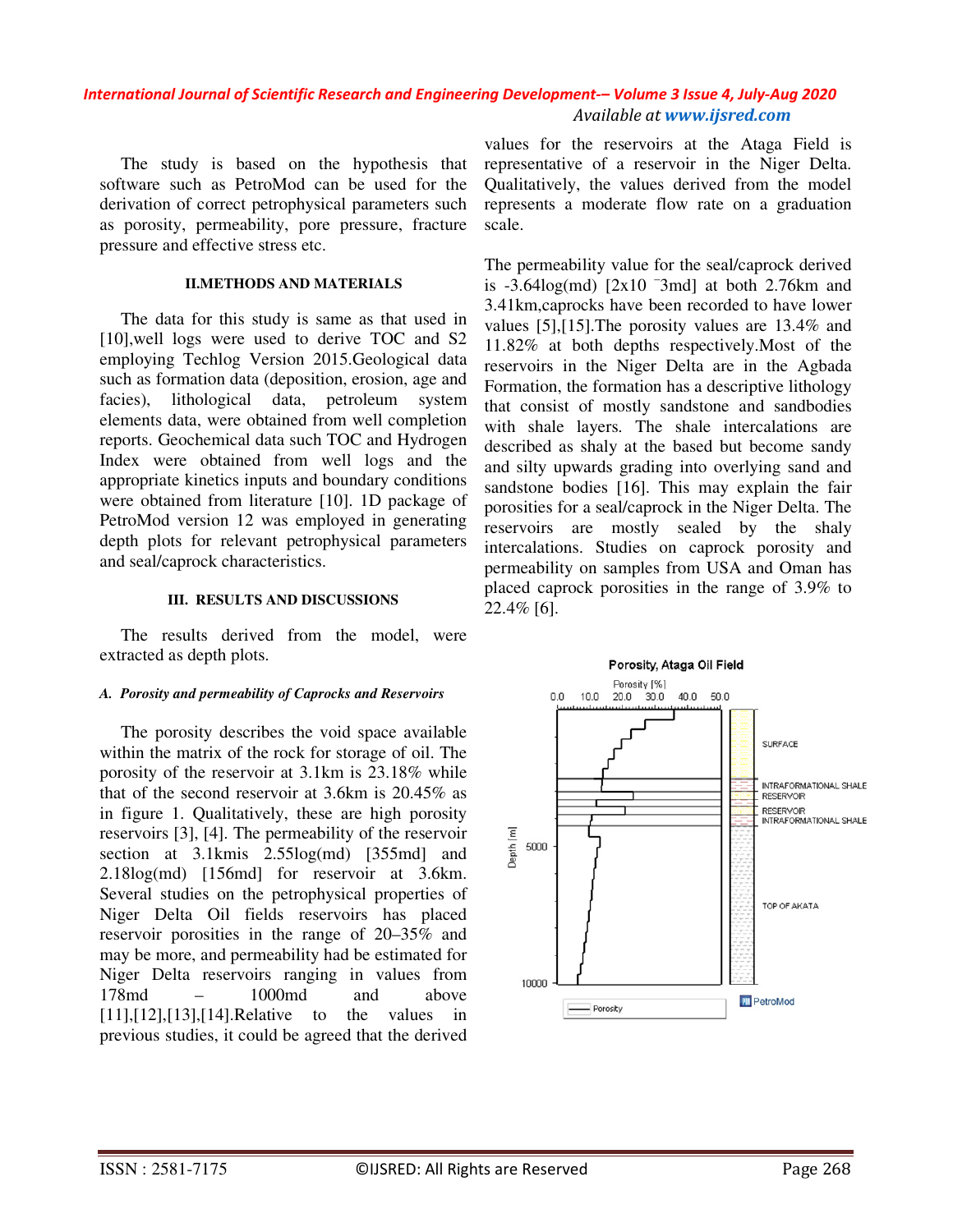## *International Journal of Scientific Research and Engineering Development-– Volume 3 Issue 4, July-Aug 2020 Available at www.ijsred.com*

The study is based on the hypothesis that software such as PetroMod can be used for the derivation of correct petrophysical parameters such as porosity, permeability, pore pressure, fracture pressure and effective stress etc.

## **II.METHODS AND MATERIALS**

The data for this study is same as that used in [10],well logs were used to derive TOC and S2 employing Techlog Version 2015.Geological data such as formation data (deposition, erosion, age and facies), lithological data, petroleum system elements data, were obtained from well completion reports. Geochemical data such TOC and Hydrogen Index were obtained from well logs and the appropriate kinetics inputs and boundary conditions were obtained from literature [10]. 1D package of PetroMod version 12 was employed in generating depth plots for relevant petrophysical parameters and seal/caprock characteristics.

## **III. RESULTS AND DISCUSSIONS**

The results derived from the model, were extracted as depth plots.

## *A. Porosity and permeability of Caprocks and Reservoirs*

The porosity describes the void space available within the matrix of the rock for storage of oil. The porosity of the reservoir at 3.1km is 23.18% while that of the second reservoir at 3.6km is 20.45% as in figure 1. Qualitatively, these are high porosity reservoirs [3], [4]. The permeability of the reservoir section at 3.1kmis 2.55log(md) [355md] and 2.18log(md) [156md] for reservoir at 3.6km. Several studies on the petrophysical properties of Niger Delta Oil fields reservoirs has placed reservoir porosities in the range of 20–35% and may be more, and permeability had be estimated for Niger Delta reservoirs ranging in values from 178md – 1000md and above [11], [12], [13], [14]. Relative to the values in previous studies, it could be agreed that the derived

values for the reservoirs at the Ataga Field is representative of a reservoir in the Niger Delta. Qualitatively, the values derived from the model represents a moderate flow rate on a graduation scale.

The permeability value for the seal/caprock derived is  $-3.64\log(md)$  [2x10<sup>-3</sup>md] at both 2.76km and 3.41km,caprocks have been recorded to have lower values [5],[15].The porosity values are 13.4% and 11.82% at both depths respectively.Most of the reservoirs in the Niger Delta are in the Agbada Formation, the formation has a descriptive lithology that consist of mostly sandstone and sandbodies with shale layers. The shale intercalations are described as shaly at the based but become sandy and silty upwards grading into overlying sand and sandstone bodies [16]. This may explain the fair porosities for a seal/caprock in the Niger Delta. The reservoirs are mostly sealed by the shaly intercalations. Studies on caprock porosity and permeability on samples from USA and Oman has placed caprock porosities in the range of 3.9% to 22.4% [6].

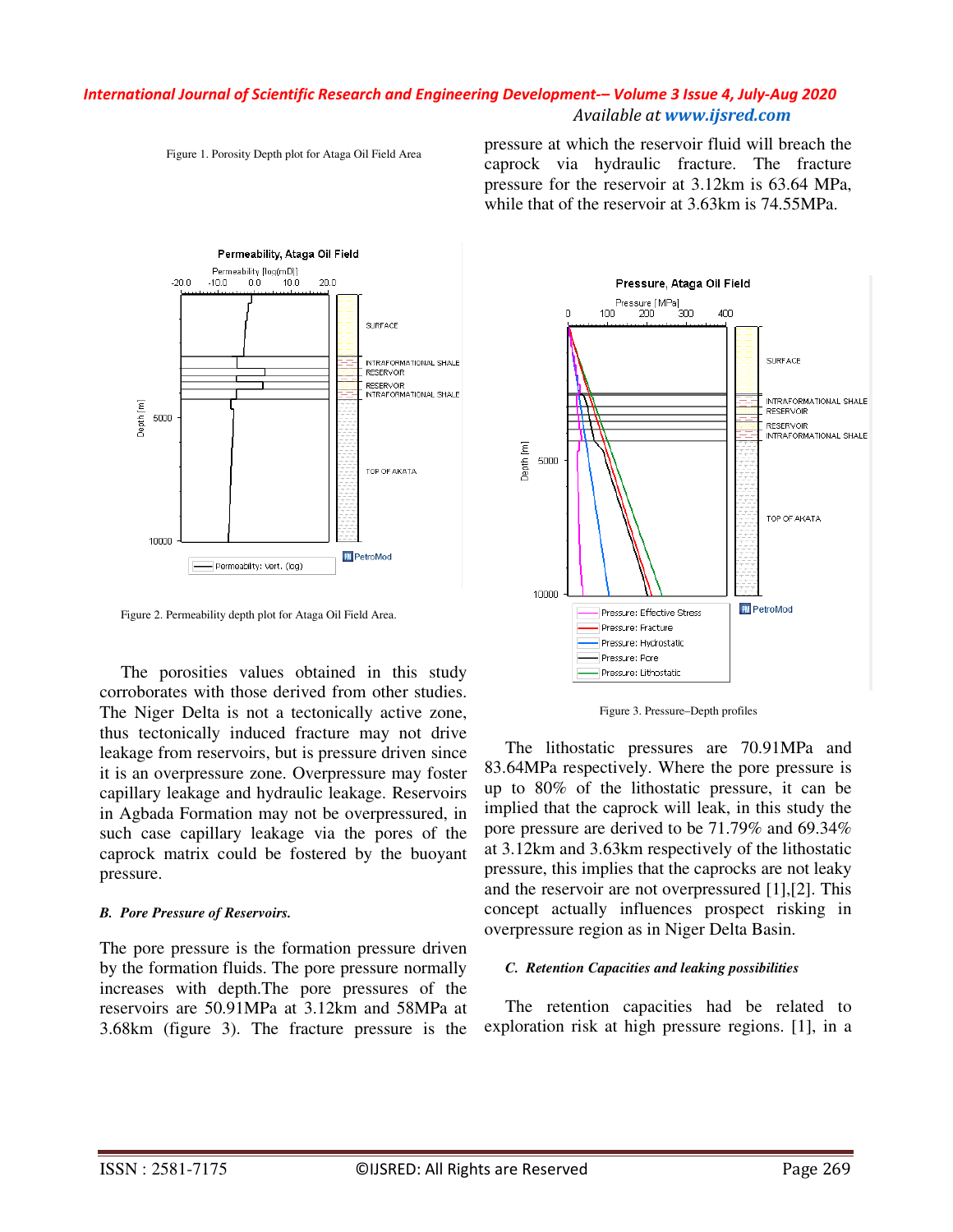## *International Journal of Scientific Research and Engineering Development-– Volume 3 Issue 4, July-Aug 2020 Available at www.ijsred.com*



Figure 1. Porosity Depth plot for Ataga Oil Field Area

pressure at which the reservoir fluid will breach the caprock via hydraulic fracture. The fracture pressure for the reservoir at 3.12km is 63.64 MPa, while that of the reservoir at 3.63km is 74.55MPa.

Figure 2. Permeability depth plot for Ataga Oil Field Area.

The porosities values obtained in this study corroborates with those derived from other studies. The Niger Delta is not a tectonically active zone, thus tectonically induced fracture may not drive leakage from reservoirs, but is pressure driven since it is an overpressure zone. Overpressure may foster capillary leakage and hydraulic leakage. Reservoirs in Agbada Formation may not be overpressured, in such case capillary leakage via the pores of the caprock matrix could be fostered by the buoyant pressure.

## *B. Pore Pressure of Reservoirs.*

The pore pressure is the formation pressure driven by the formation fluids. The pore pressure normally increases with depth.The pore pressures of the reservoirs are 50.91MPa at 3.12km and 58MPa at 3.68km (figure 3). The fracture pressure is the



Figure 3. Pressure–Depth profiles

The lithostatic pressures are 70.91MPa and 83.64MPa respectively. Where the pore pressure is up to 80% of the lithostatic pressure, it can be implied that the caprock will leak, in this study the pore pressure are derived to be 71.79% and 69.34% at 3.12km and 3.63km respectively of the lithostatic pressure, this implies that the caprocks are not leaky and the reservoir are not overpressured [1],[2]. This concept actually influences prospect risking in overpressure region as in Niger Delta Basin.

## *C. Retention Capacities and leaking possibilities*

The retention capacities had be related to exploration risk at high pressure regions. [1], in a